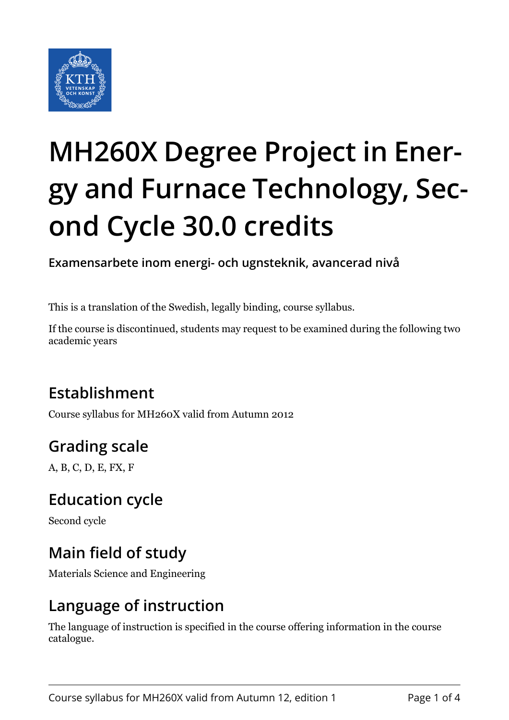

# **MH260X Degree Project in Energy and Furnace Technology, Second Cycle 30.0 credits**

**Examensarbete inom energi- och ugnsteknik, avancerad nivå**

This is a translation of the Swedish, legally binding, course syllabus.

If the course is discontinued, students may request to be examined during the following two academic years

# **Establishment**

Course syllabus for MH260X valid from Autumn 2012

# **Grading scale**

A, B, C, D, E, FX, F

# **Education cycle**

Second cycle

# **Main field of study**

Materials Science and Engineering

# **Language of instruction**

The language of instruction is specified in the course offering information in the course catalogue.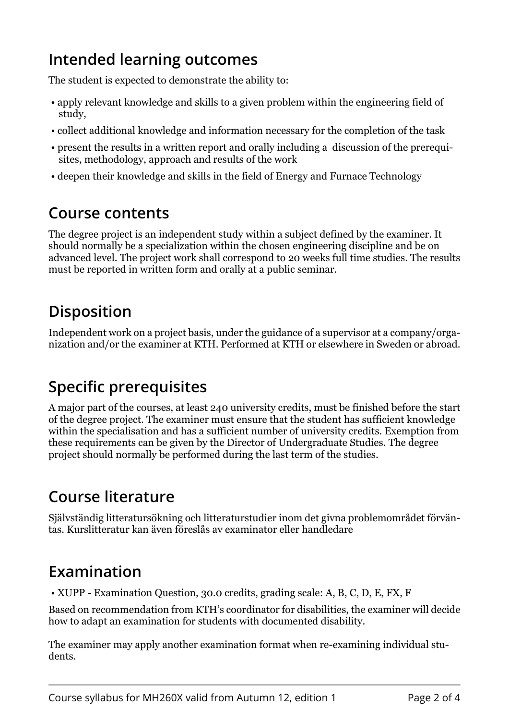# **Intended learning outcomes**

The student is expected to demonstrate the ability to:

- apply relevant knowledge and skills to a given problem within the engineering field of study,
- collect additional knowledge and information necessary for the completion of the task
- present the results in a written report and orally including a discussion of the prerequisites, methodology, approach and results of the work
- deepen their knowledge and skills in the field of Energy and Furnace Technology

# **Course contents**

The degree project is an independent study within a subject defined by the examiner. It should normally be a specialization within the chosen engineering discipline and be on advanced level. The project work shall correspond to 20 weeks full time studies. The results must be reported in written form and orally at a public seminar.

# **Disposition**

Independent work on a project basis, under the guidance of a supervisor at a company/organization and/or the examiner at KTH. Performed at KTH or elsewhere in Sweden or abroad.

# **Specific prerequisites**

A major part of the courses, at least 240 university credits, must be finished before the start of the degree project. The examiner must ensure that the student has sufficient knowledge within the specialisation and has a sufficient number of university credits. Exemption from these requirements can be given by the Director of Undergraduate Studies. The degree project should normally be performed during the last term of the studies.

# **Course literature**

Självständig litteratursökning och litteraturstudier inom det givna problemområdet förväntas. Kurslitteratur kan även föreslås av examinator eller handledare

### **Examination**

• XUPP - Examination Question, 30.0 credits, grading scale: A, B, C, D, E, FX, F

Based on recommendation from KTH's coordinator for disabilities, the examiner will decide how to adapt an examination for students with documented disability.

The examiner may apply another examination format when re-examining individual students.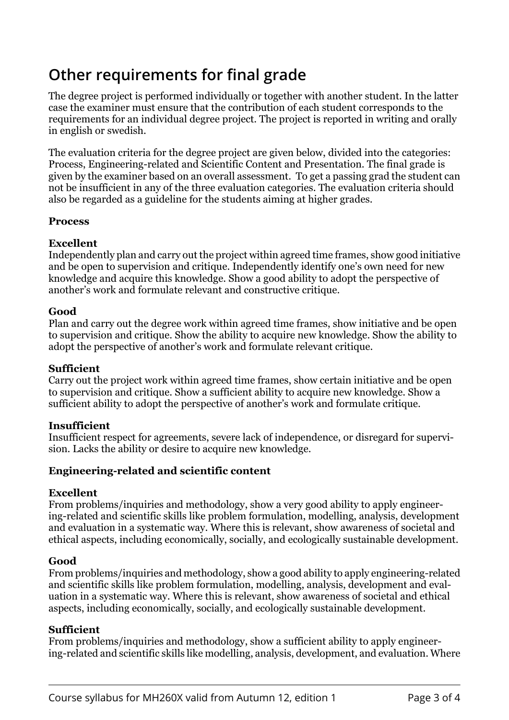# **Other requirements for final grade**

The degree project is performed individually or together with another student. In the latter case the examiner must ensure that the contribution of each student corresponds to the requirements for an individual degree project. The project is reported in writing and orally in english or swedish.

The evaluation criteria for the degree project are given below, divided into the categories: Process, Engineering-related and Scientific Content and Presentation. The final grade is given by the examiner based on an overall assessment. To get a passing grad the student can not be insufficient in any of the three evaluation categories. The evaluation criteria should also be regarded as a guideline for the students aiming at higher grades.

#### **Process**

#### **Excellent**

Independently plan and carry out the project within agreed time frames, show good initiative and be open to supervision and critique. Independently identify one's own need for new knowledge and acquire this knowledge. Show a good ability to adopt the perspective of another's work and formulate relevant and constructive critique.

#### **Good**

Plan and carry out the degree work within agreed time frames, show initiative and be open to supervision and critique. Show the ability to acquire new knowledge. Show the ability to adopt the perspective of another's work and formulate relevant critique.

#### **Sufficient**

Carry out the project work within agreed time frames, show certain initiative and be open to supervision and critique. Show a sufficient ability to acquire new knowledge. Show a sufficient ability to adopt the perspective of another's work and formulate critique.

#### **Insufficient**

Insufficient respect for agreements, severe lack of independence, or disregard for supervision. Lacks the ability or desire to acquire new knowledge.

#### **Engineering-related and scientific content**

#### **Excellent**

From problems/inquiries and methodology, show a very good ability to apply engineering-related and scientific skills like problem formulation, modelling, analysis, development and evaluation in a systematic way. Where this is relevant, show awareness of societal and ethical aspects, including economically, socially, and ecologically sustainable development.

#### **Good**

From problems/inquiries and methodology, show a good ability to apply engineering-related and scientific skills like problem formulation, modelling, analysis, development and evaluation in a systematic way. Where this is relevant, show awareness of societal and ethical aspects, including economically, socially, and ecologically sustainable development.

#### **Sufficient**

From problems/inquiries and methodology, show a sufficient ability to apply engineering-related and scientific skills like modelling, analysis, development, and evaluation. Where